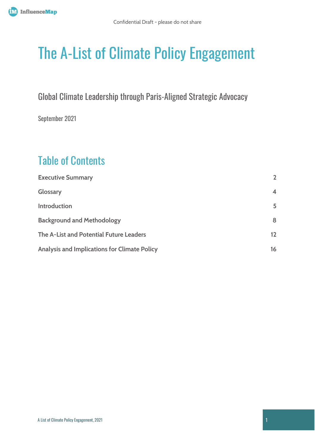# The A-List of Climate Policy Engagement

Global Climate Leadership through Paris-Aligned Strategic Advocacy

September 2021

# Table of Contents

| <b>Executive Summary</b>                     | $\overline{\phantom{a}}$ |
|----------------------------------------------|--------------------------|
| Glossary                                     | $\overline{\mathbf{A}}$  |
| Introduction                                 | 5                        |
| <b>Background and Methodology</b>            | 8                        |
| The A-List and Potential Future Leaders      | 12                       |
| Analysis and Implications for Climate Policy | 16                       |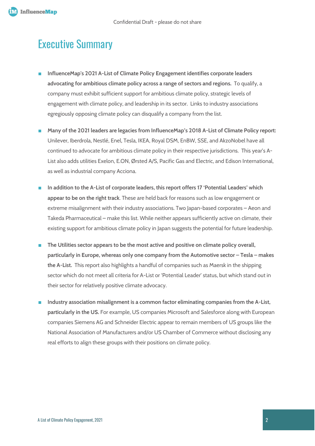### <span id="page-1-0"></span>Executive Summary

- **InfluenceMap's 2021 A-List of Climate Policy Engagement identifies corporate leaders advocating for ambitious climate policy across a range of sectors and regions.** To qualify, a company must exhibit sufficient support for ambitious climate policy, strategic levels of engagement with climate policy, and leadership in its sector. Links to industry associations egregiously opposing climate policy can disqualify a company from the list.
- **Many of the 2021 leaders are legacies from InfluenceMap's 2018 A-List of Climate Policy report:** Unilever, Iberdrola, Nestlé, Enel, Tesla, IKEA, Royal DSM, EnBW, SSE, and AkzoNobel have all continued to advocate for ambitious climate policy in their respective jurisdictions. This year's A-List also adds utilities Exelon, E.ON, Ørsted A/S, Pacific Gas and Electric, and Edison International, as well as industrial company Acciona.
- In addition to the A-List of corporate leaders, this report offers 17 'Potential Leaders' which **appear to be on the right track**. These are held back for reasons such as low engagement or extreme misalignment with their industry associations. Two Japan-based corporates – Aeon and Takeda Pharmaceutical – make this list. While neither appears sufficiently active on climate, their existing support for ambitious climate policy in Japan suggests the potential for future leadership.
- The Utilities sector appears to be the most active and positive on climate policy overall, **particularly in Europe, whereas only one company from the Automotive sector – Tesla – makes the A-List.** This report also highlights a handful of companies such as Maersk in the shipping sector which do not meet all criteria for A-List or 'Potential Leader' status, but which stand out in their sector for relatively positive climate advocacy.
- **Industry association misalignment is a common factor eliminating companies from the A-List, particularly in the US.** For example, US companies Microsoft and Salesforce along with European companies Siemens AG and Schneider Electric appear to remain members of US groups like the National Association of Manufacturers and/or US Chamber of Commerce without disclosing any real efforts to align these groups with their positions on climate policy.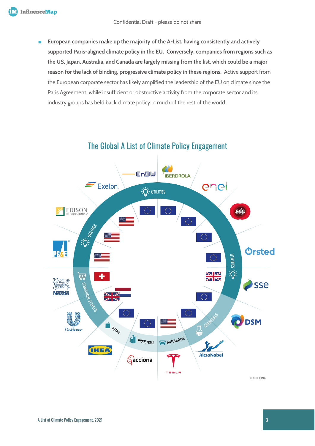■ **European companies make up the majority of the A-List, having consistently and actively supported Paris-aligned climate policy in the EU. Conversely, companies from regions such as the US, Japan, Australia, and Canada are largely missing from the list, which could be a major reason for the lack of binding, progressive climate policy in these regions.** Active support from the European corporate sector has likely amplified the leadership of the EU on climate since the Paris Agreement, while insufficient or obstructive activity from the corporate sector and its industry groups has held back climate policy in much of the rest of the world.



### The Global A List of Climate Policy Engagement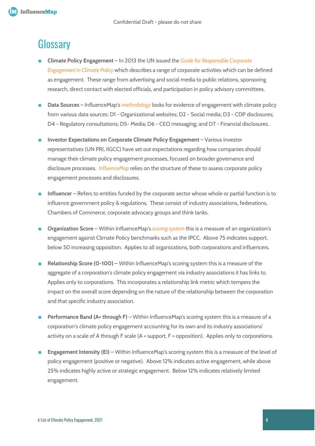### <span id="page-3-0"></span>**Glossary**

- **Climate Policy Engagement** In 2013 the UN issued the *Guide for Responsible Corporate [Engagement in Climate Policy](https://www.unglobalcompact.org/library/501)* which describes a range of corporate activities which can be defined as engagement. These range from advertising and social media to public relations, sponsoring research, direct contact with elected officials, and participation in policy advisory committees.
- **Data Sources**  InfluenceMap's *[methodology](https://influencemap.org/page/Our-Methodology)* looks for evidence of engagement with climate policy from various data sources: D1 - Organizational websites; D2 - Social media; D3 - CDP disclosures; D4 - Regulatory consultations; D5- Media; D6 - CEO messaging; and D7 - Financial disclosures.
- **Investor Expectations on Corporate Climate Policy Engagement Various investor** representatives (UN PRI, IIGCC) have set out expectations regarding how companies should manage their climate policy engagement processes, focused on broader governance and disclosure processes. *[InfluenceMap](https://influencemap.org/page/Our-Methodology)* relies on the structure of these to assess corporate policy engagement processes and disclosures.
- **Influencer** Refers to entities funded by the corporate sector whose whole or partial function is to influence government policy & regulations. These consist of industry associations, federations, Chambers of Commerce, corporate advocacy groups and think tanks.
- **Organization Score** Within InfluenceMap's *[scoring system](https://influencemap.org/page/Our-Methodology)* this is a measure of an organization's engagement against Climate Policy benchmarks such as the IPCC. Above 75 indicates support, below 50 increasing opposition. Applies to all organizations, both corporations and influencers.
- **Relationship Score (0-100)** Within InfluenceMap's scoring system this is a measure of the aggregate of a corporation's climate policy engagement via industry associations it has links to. Applies only to corporations. This incorporates a relationship link metric which tempers the impact on the overall score depending on the nature of the relationship between the corporation and that specific industry association.
- **Performance Band (A+ through F)** Within InfluenceMap's scoring system this is a measure of a corporation's climate policy engagement accounting for its own and its industry associations' activity on a scale of A through F scale (A = support, F = opposition). Applies only to corporations.
- **Engagement Intensity (EI)** Within InfluenceMap's scoring system this is a measure of the level of policy engagement (positive or negative). Above 12% indicates active engagement, while above 25% indicates highly active or strategic engagement. Below 12% indicates relatively limited engagement.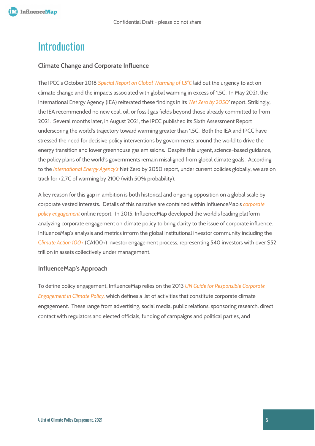### <span id="page-4-0"></span>**Introduction**

#### **Climate Change and Corporate Influence**

The IPCC's October 2018 *[Special Report on Global Warming of 1.5°C](https://www.ipcc.ch/sr15/)* laid out the urgency to act on climate change and the impacts associated with global warming in excess of 1.5C. In May 2021, the International Energy Agency (IEA) reiterated these findings in its *['Net Zero by 2050'](https://www.iea.org/reports/net-zero-by-2050)* report. Strikingly, the IEA recommended no new coal, oil, or fossil gas fields beyond those already committed to from 2021. Several months later, in August 2021, the IPCC published its Sixth Assessment Report underscoring the world's trajectory toward warming greater than 1.5C. Both the IEA and IPCC have stressed the need for decisive policy interventions by governments around the world to drive the energy transition and lower greenhouse gas emissions. Despite this urgent, science-based guidance, the policy plans of the world's governments remain misaligned from global climate goals. According to the *[International Energy Agency's](https://iea.blob.core.windows.net/assets/20959e2e-7ab8-4f2a-b1c6-4e63387f03a1/NetZeroby2050-ARoadmapfortheGlobalEnergySector_CORR.pdf)* Net Zero by 2050 report, under current policies globally, we are on track for +2.7C of warming by 2100 (with 50% probability).

A key reason for this gap in ambition is both historical and ongoing opposition on a global scale by corporate vested interests. Details of this narrative are contained within InfluenceMap's *[corporate](https://influencemap.org/climate-lobbying)  [policy engagement](https://influencemap.org/climate-lobbying)* online report. In 2015, InfluenceMap developed the world's leading platform analyzing corporate engagement on climate policy to bring clarity to the issue of corporate influence. InfluenceMap's analysis and metrics inform the global institutional investor community including the [C](https://climateaction100.files.wordpress.com/2019/12/ca100-2019-progress-report-japanese.pdf)*[limate Action 100+](https://www.climateaction100.org/)* (CA100+) investor engagement process, representing 540 investors with over \$52 trillion in assets collectively under management.

#### **InfluenceMap's Approach**

To define policy engagement, InfluenceMap relies on the 2013 *[UN Guide for Responsible Corporate](https://www.unglobalcompact.org/library/501)  [Engagement in Climate Policy,](https://www.unglobalcompact.org/library/501)* which defines a list of activities that constitute corporate climate engagement. These range from advertising, social media, public relations, sponsoring research, direct contact with regulators and elected officials, funding of campaigns and political parties, and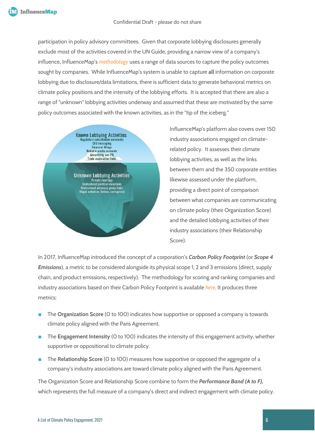participation in policy advisory committees. Given that corporate lobbying disclosures generally exclude most of the activities covered in the UN Guide, providing a narrow view of a company's influence, InfluenceMap's *[methodology](https://influencemap.org/page/Our-Methodology)* uses a range of data sources to capture the policy outcomes sought by companies. While InfluenceMap's system is unable to capture **all** information on corporate lobbying due to disclosure/data limitations, there is sufficient data to generate behavioral metrics on climate policy positions and the intensity of the lobbying efforts. It is accepted that there are also a range of "unknown" lobbying activities underway and assumed that these are motivated by the same policy outcomes associated with the known activities, as in the "tip of the iceberg."



InfluenceMap's platform also covers over 150 industry associations engaged on climaterelated policy. It assesses their climate lobbying activities, as well as the links between them and the 350 corporate entities likewise assessed under the platform, providing a direct point of comparison between what companies are communicating on climate policy (their Organization Score) and the detailed lobbying activities of their industry associations (their Relationship Score).

In 2017, InfluenceMap introduced the concept of a corporation's *Carbon Policy Footprint* (or *Scope 4 Emissions*), a metric to be considered alongside its physical scope 1, 2 and 3 emissions (direct, supply chain, and product emissions, respectively). The methodology for scoring and ranking companies and industry associations based on their Carbon Policy Footprint is available *[here](https://influencemap.org/page/Our-Methodology)*. It produces three metrics:

- The **Organization Score** (0 to 100) indicates how supportive or opposed a company is towards climate policy aligned with the Paris Agreement.
- The **Engagement Intensity** (0 to 100) indicates the intensity of this engagement activity, whether supportive or oppositional to climate policy.
- The **Relationship Score** (0 to 100) measures how supportive or opposed the aggregate of a company's industry associations are toward climate policy aligned with the Paris Agreement.

The Organization Score and Relationship Score combine to form the *Performance Band (A to F),*  which represents the full measure of a company's direct and indirect engagement with climate policy.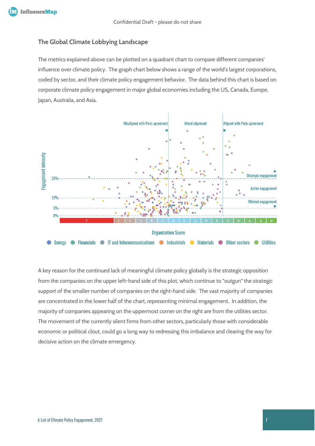#### **The Global Climate Lobbying Landscape**

The metrics explained above can be plotted on a quadrant chart to compare different companies' influence over climate policy. The graph chart below shows a range of the world's largest corporations, coded by sector, and their climate policy engagement behavior. The data behind this chart is based on corporate climate policy engagement in major global economies including the US, Canada, Europe, Japan, Australia, and Asia.



A key reason for the continued lack of meaningful climate policy globally is the strategic opposition from the companies on the upper left-hand side of this plot, which continue to "outgun" the strategic support of the smaller number of companies on the right-hand side. The vast majority of companies are concentrated in the lower half of the chart, representing minimal engagement. In addition, the majority of companies appearing on the uppermost corner on the right are from the utilities sector. The movement of the currently silent firms from other sectors, particularly those with considerable economic or political clout, could go a long way to redressing this imbalance and clearing the way for decisive action on the climate emergency.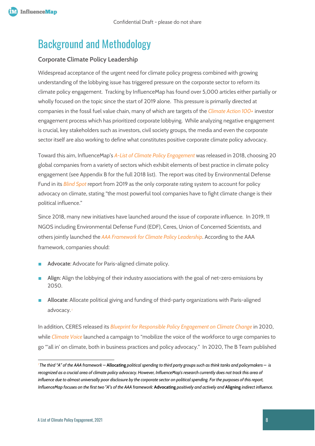### <span id="page-7-0"></span>Background and Methodology

#### **Corporate Climate Policy Leadership**

Widespread acceptance of the urgent need for climate policy progress combined with growing understanding of the lobbying issue has triggered pressure on the corporate sector to reform its climate policy engagement. Tracking by InfluenceMap has found over 5,000 articles either partially or wholly focused on the topic since the start of 2019 alone. This pressure is primarily directed at companies in the fossil fuel value chain, many of which are targets of the *[Climate Action 100+](http://www.climateaction100.org/)* investor engagement process which has prioritized corporate lobbying. While analyzing negative engagement is crucial, key stakeholders such as investors, civil society groups, the media and even the corporate sector itself are also working to define what constitutes positive corporate climate policy advocacy.

Toward this aim, InfluenceMap's *[A-List of Climate Policy Engagement](https://influencemap.org/report/The-A-List-of-Climate-Policy-Engagement-ba3251ef6c09b397ddec7c79de2c8565)* was released in 2018, choosing 20 global companies from a variety of sectors which exhibit elements of best practice in climate policy engagement (see Appendix B for the full 2018 list). The report was cited by Environmental Defense Fund in its *[Blind Spot](https://business.edf.org/insights/the-blind-spot-climate-policy-leadership/)* report from 2019 as the only corporate rating system to account for policy advocacy on climate, stating "the most powerful tool companies have to fight climate change is their political influence."

Since 2018, many new initiatives have launched around the issue of corporate influence. In 2019, 11 NGOS including Environmental Defense Fund (EDF), Ceres, Union of Concerned Scientists, and others jointly launched the *[AAA Framework for Climate Policy Leadership](https://business.edf.org/insights/aaa-leadership-framework/)*. According to the AAA framework, companies should:

- Advocate: Advocate for Paris-aligned climate policy.
- Align: Align the lobbying of their industry associations with the goal of net-zero emissions by 2050.
- **Allocate**: Allocate political giving and funding of third-party organizations with Paris-aligned advocacy. *[1](#page-7-1)*

In addition, CERES released its *[Blueprint for Responsible Policy Engagement on Climate Change](https://www.ceres.org/resources/reports/blueprint-responsible-policy-engagement-climate-change)* in 2020, while *[Climate Voice](https://climatevoice.org/about/)* launched a campaign to "mobilize the voice of the workforce to urge companies to go "'all in' on climate, both in business practices and policy advocacy." In 2020, The B Team published

<span id="page-7-1"></span>*<sup>1</sup> The third "A" of the AAA framework –* **Allocating** *political spending to third party groups such as think tanks and policymakers – is recognized as a crucial area of climate policy advocacy. However, InfluenceMap's research currently does not track this area of influence due to almost universally poor disclosure by the corporate sector on political spending. For the purposes of this report, InfluenceMap focuses on the first two "A"s of the AAA framework:* **Advocating** *positively and actively and* **Aligning** *indirect influence.*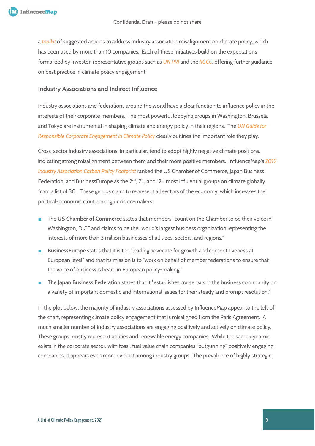a *[toolkit](https://bteam.org/our-thinking/reports/addressing-trade-association-misalignment-on-climate-policy)* of suggested actions to address industry association misalignment on climate policy, which has been used by more than 10 companies. Each of these initiatives build on the expectations formalized by investor-representative groups such as *[UN PRI](https://www.unpri.org/Uploads/i/k/t/Investor-Expectations-on-Corporate-Climate-Lobbying_en-GB.pdf)* and the *[IIGCC](https://www.iigcc.org/download/investor-expectations-on-corporate-lobbying/?wpdmdl=1830&refresh=5e941e9842c431586765464)*, offering further guidance on best practice in climate policy engagement.

#### **Industry Associations and Indirect Influence**

Industry associations and federations around the world have a clear function to influence policy in the interests of their corporate members. The most powerful lobbying groups in Washington, Brussels, and Tokyo are instrumental in shaping climate and energy policy in their regions. The *UN [Guide for](https://www.unglobalcompact.org/library/501)  [Responsible Corporate Engagement in Climate Policy](https://www.unglobalcompact.org/library/501)* clearly outlines the important role they play.

Cross-sector industry associations, in particular, tend to adopt highly negative climate positions, indicating strong misalignment between them and their more positive members. InfluenceMap's *[2019](https://influencemap.org/report/Trade-Groups-and-their-Carbon-Footprints-f48157cf8df3526078541070f067f6e6)  [Industry Association Carbon Policy Footprint](https://influencemap.org/report/Trade-Groups-and-their-Carbon-Footprints-f48157cf8df3526078541070f067f6e6)* ranked the US Chamber of Commerce, Japan Business Federation, and BusinessEurope as the  $2^{nd}$ ,  $7^{th}$ , and  $12^{th}$  most influential groups on climate globally from a list of 30. These groups claim to represent all sectors of the economy, which increases their political-economic clout among decision-makers:

- The **US Chamber of Commerce** [states](https://www.uschamber.com/about-us/about-the-us-chamber) that members "count on the Chamber to be their voice in Washington, D.C." and claims to be the "world's largest business organization representing the interests of more than 3 million businesses of all sizes, sectors, and regions."
- **BusinessEurope** [states](https://www.businesseurope.eu/mission-and-priorities) that it is the "leading advocate for growth and competitiveness at European level" and that its mission is to "work on behalf of member federations to ensure that the voice of business is heard in European policy-making."
- **The Japan Business Federation** [states](https://www.keidanren.or.jp/en/profile/pro001.html) that it "establishes consensus in the business community on a variety of important domestic and international issues for their steady and prompt resolution."

In the plot below, the majority of industry associations assessed by InfluenceMap appear to the left of the chart, representing climate policy engagement that is misaligned from the Paris Agreement. A much smaller number of industry associations are engaging positively and actively on climate policy. These groups mostly represent utilities and renewable energy companies. While the same dynamic exists in the corporate sector, with fossil fuel value chain companies "outgunning" positively engaging companies, it appears even more evident among industry groups. The prevalence of highly strategic,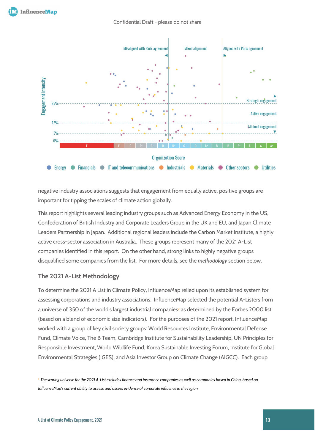

negative industry associations suggests that engagement from equally active, positive groups are important for tipping the scales of climate action globally.

This report highlights several leading industry groups such as Advanced Energy Economy in the US, Confederation of British Industry and Corporate Leaders Group in the UK and EU, and Japan Climate Leaders Partnership in Japan. Additional regional leaders include the Carbon Market Institute, a highly active cross-sector association in Australia. These groups represent many of the 2021 A-List companies identified in this report. On the other hand, strong links to highly negative groups disqualified some companies from the list. For more details, see the *methodology* section below.

#### **The 2021 A-List Methodology**

To determine the 2021 A List in Climate Policy, InfluenceMap relied upon its established system for assessing corporations and industry associations. InfluenceMap selected the potential A-Listers from a universe of 350 of the world's largest industrial companies*[2](#page-9-0)* as determined by the Forbes 2000 list (based on a blend of economic size indicators). For the purposes of the 2021 report, InfluenceMap worked with a group of key civil society groups: World Resources Institute, Environmental Defense Fund, Climate Voice, The B Team, Cambridge Institute for Sustainability Leadership, UN Principles for Responsible Investment, World Wildlife Fund, Korea Sustainable Investing Forum, Institute for Global Environmental Strategies (IGES), and Asia Investor Group on Climate Change (AIGCC). Each group

<span id="page-9-0"></span><sup>2</sup> *The scoring universe for the 2021 A-List excludes finance and insurance companies as well as companies based in China, based on InfluenceMap's current ability to access and assess evidence of corporate influence in the region.*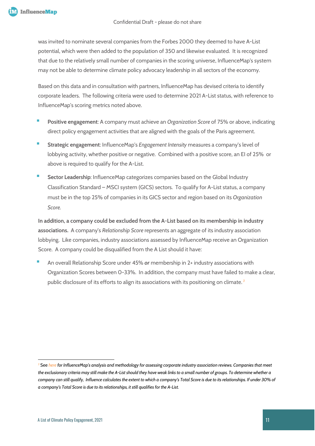was invited to nominate several companies from the Forbes 2000 they deemed to have A-List potential, which were then added to the population of 350 and likewise evaluated. It is recognized that due to the relatively small number of companies in the scoring universe, InfluenceMap's system may not be able to determine climate policy advocacy leadership in all sectors of the economy.

Based on this data and in consultation with partners, InfluenceMap has devised criteria to identify corporate leaders. The following criteria were used to determine 2021 A-List status, with reference to InfluenceMap's scoring metrics noted above.

- Positive engagement: A company must achieve an *Organization Score* of 75% or above, indicating direct policy engagement activities that are aligned with the goals of the Paris agreement.
- **Strategic engagement**: InfluenceMap's *Engagement Intensity* measures a company's level of lobbying activity, whether positive or negative. Combined with a positive score, an EI of 25% or above is required to qualify for the A-List.
- **Sector Leadership:** InfluenceMap categorizes companies based on the Global Industry Classification Standard – MSCI system (GICS) sectors. To qualify for A-List status, a company must be in the top 25% of companies in its GICS sector and region based on its *Organization Score.*

**In addition, a company could be excluded from the A-List based on its membership in industry associations.** A company's *Relationship Score* represents an aggregate of its industry association lobbying. Like companies, industry associations assessed by InfluenceMap receive an Organization Score. A company could be disqualified from the A List should it have:

An overall Relationship Score under 45% or membership in 2+ industry associations with Organization Scores between 0-33%. In addition, the company must have failed to make a clear, public disclosure of its efforts to align its associations with its positioning on climate. *[3](#page-10-0)*

<span id="page-10-0"></span>*<sup>3</sup>* See *[here](https://influencemap.org/report/ca100-disclosure-review) for InfluenceMap's analysis and methodology for assessing corporate industry association reviews. Companies that meet the exclusionary criteria may still make the A-List should they have weak links to a small number of groups. To determine whether a company can still qualify, Influence calculates the extent to which a company's Total Score is due to its relationships. If under 30% of a company's Total Score is due to its relationships, it still qualifies for the A-List.*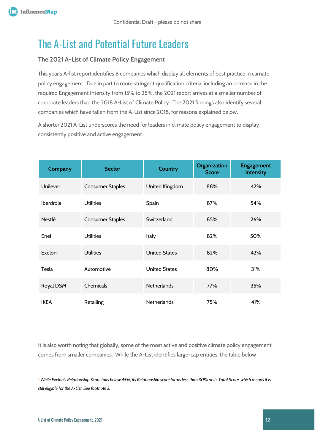### <span id="page-11-0"></span>The A-List and Potential Future Leaders

#### **The 2021 A-List of Climate Policy Engagement**

This year's A-list report identifies 8 companies which display all elements of best practice in climate policy engagement. Due in part to more stringent qualification criteria, including an increase in the required Engagement Intensity from 15% to 25%, the 2021 report arrives at a smaller number of corporate leaders than the 2018 A-List of Climate Policy. The 2021 findings also identify several companies which have fallen from the A-List since 2018, for reasons explained below.

A shorter 2021 A-List underscores the need for leaders in climate policy engagement to display consistently positive and active engagement.

| Company             | <b>Sector</b>           | <b>Country</b>       | <b>Organization</b><br><b>Score</b> | <b>Engagement</b><br>Intensity |
|---------------------|-------------------------|----------------------|-------------------------------------|--------------------------------|
| Unilever            | <b>Consumer Staples</b> | United Kingdom       | 88%                                 | 42%                            |
| Iberdrola           | <b>Utilities</b>        | Spain                | 87%                                 | 54%                            |
| <b>Nestlé</b>       | <b>Consumer Staples</b> | Switzerland          | 85%                                 | 26%                            |
| Enel                | <b>Utilities</b>        | Italy                | 82%                                 | 50%                            |
| Exelon <sup>4</sup> | <b>Utilities</b>        | <b>United States</b> | 82%                                 | 42%                            |
| Tesla               | Automotive              | <b>United States</b> | 80%                                 | 31%                            |
| Royal DSM           | Chemicals               | <b>Netherlands</b>   | 77%                                 | 35%                            |
| <b>IKEA</b>         | Retailing               | <b>Netherlands</b>   | 75%                                 | 41%                            |

It is also worth noting that globally, some of the most active and positive climate policy engagement comes from smaller companies. While the A-List identifies large-cap entities, the table below

<span id="page-11-1"></span><sup>4</sup> *While Exelon's Relationship Score falls below 45%, its Relationship score forms less than 30% of its Total Score, which means it is still eligible for the A-List. See footnote 2.*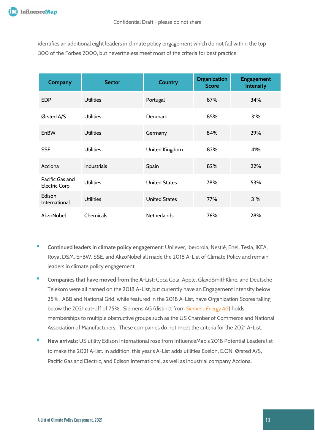identifies an additional eight leaders in climate policy engagement which do not fall within the top 300 of the Forbes 2000, but nevertheless meet most of the criteria for best practice.

| Company                                 | <b>Sector</b>      | <b>Country</b>       | <b>Organization</b><br><b>Score</b> | <b>Engagement</b><br><b>Intensity</b> |
|-----------------------------------------|--------------------|----------------------|-------------------------------------|---------------------------------------|
| <b>EDP</b>                              | <b>Utilities</b>   | Portugal             | 87%                                 | 34%                                   |
| Ørsted A/S                              | <b>Utilities</b>   | <b>Denmark</b>       | 85%                                 | 31%                                   |
| EnBW                                    | <b>Utilities</b>   | Germany              | 84%                                 | 29%                                   |
| <b>SSE</b>                              | <b>Utilities</b>   | United Kingdom       | 82%                                 | 41%                                   |
| Acciona                                 | <b>Industrials</b> | Spain                | 82%                                 | 22%                                   |
| Pacific Gas and<br><b>Electric Corp</b> | <b>Utilities</b>   | <b>United States</b> | 78%                                 | 53%                                   |
| Edison<br>International                 | <b>Utilities</b>   | <b>United States</b> | 77%                                 | 31%                                   |
| AkzoNobel                               | Chemicals          | <b>Netherlands</b>   | 76%                                 | 28%                                   |

- **Continued leaders in climate policy engagement**: Unilever, Iberdrola, Nestlé, Enel, Tesla, IKEA, Royal DSM, EnBW, SSE, and AkzoNobel all made the 2018 A-List of Climate Policy and remain leaders in climate policy engagement.
- **E** Companies that have moved from the A-List: Coca Cola, Apple, GlaxoSmithKline, and Deutsche Telekom were all named on the 2018 A-List, but currently have an Engagement Intensity below 25%. ABB and National Grid, while featured in the 2018 A-List, have Organization Scores falling below the 2021 cut-off of 75%. Siemens AG (distinct from *[Siemens Energy](https://influencemap.org/company/Siemens-Energy-596f90c1b0c19067a9648150a66b1fdb/projectlink/Siemens-Energy-in-Climate-Change-1160be21af3f0c9d86d272db547bc247) AG*) holds memberships to multiple obstructive groups such as the US Chamber of Commerce and National Association of Manufacturers. These companies do not meet the criteria for the 2021 A-List.
- New arrivals: US utility Edison International rose from InfluenceMap's 2018 Potential Leaders list to make the 2021 A-list. In addition, this year's A-List adds utilities Exelon, E.ON, Ørsted A/S, Pacific Gas and Electric, and Edison International, as well as industrial company Acciona.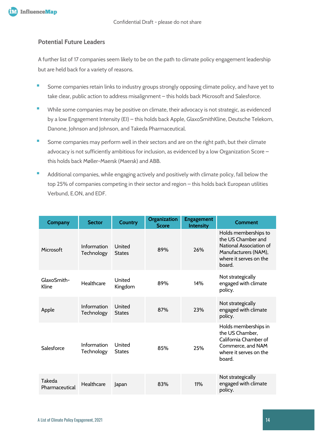#### **Potential Future Leaders**

A further list of 17 companies seem likely to be on the path to climate policy engagement leadership but are held back for a variety of reasons.

- Some companies retain links to industry groups strongly opposing climate policy, and have yet to take clear, public action to address misalignment – this holds back Microsoft and Salesforce.
- While some companies may be positive on climate, their advocacy is not strategic, as evidenced by a low Engagement Intensity (EI) – this holds back Apple, GlaxoSmithKline, Deutsche Telekom, Danone, Johnson and Johnson, and Takeda Pharmaceutical.
- **EXTEND IN Some companies may perform well in their sectors and are on the right path, but their climate** advocacy is not sufficiently ambitious for inclusion, as evidenced by a low Organization Score – this holds back Møller-Maersk (Maersk) and ABB.
- Additional companies, while engaging actively and positively with climate policy, fall below the top 25% of companies competing in their sector and region – this holds back European utilities Verbund, E.ON, and EDF.

| Company                  | <b>Sector</b>             | <b>Country</b>          | Organization<br><b>Score</b> | <b>Engagement</b><br><b>Intensity</b> | Comment                                                                                                                           |
|--------------------------|---------------------------|-------------------------|------------------------------|---------------------------------------|-----------------------------------------------------------------------------------------------------------------------------------|
| Microsoft                | Information<br>Technology | United<br><b>States</b> | 89%                          | 26%                                   | Holds memberships to<br>the US Chamber and<br>National Association of<br>Manufacturers (NAM),<br>where it serves on the<br>board. |
| GlaxoSmith-<br>Kline     | Healthcare                | United<br>Kingdom       | 89%                          | 14%                                   | Not strategically<br>engaged with climate<br>policy.                                                                              |
| Apple                    | Information<br>Technology | United<br><b>States</b> | 87%                          | 23%                                   | Not strategically<br>engaged with climate<br>policy.                                                                              |
| Salesforce               | Information<br>Technology | United<br><b>States</b> | 85%                          | 25%                                   | Holds memberships in<br>the US Chamber,<br>California Chamber of<br>Commerce, and NAM<br>where it serves on the<br>board.         |
| Takeda<br>Pharmaceutical | Healthcare                | Japan                   | 83%                          | 11%                                   | Not strategically<br>engaged with climate<br>policy.                                                                              |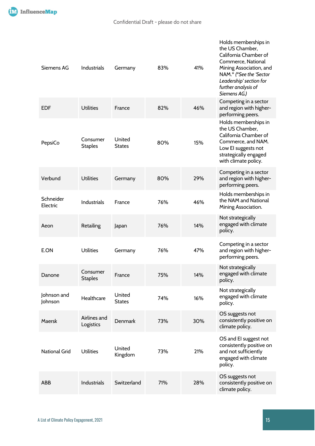| Siemens AG             | <b>Industrials</b>         | Germany                 | 83% | 41% | Holds memberships in<br>the US Chamber,<br>California Chamber of<br>Commerce, National<br>Mining Association, and<br>NAM.* (*See the 'Sector<br>Leadership' section for<br>further analysis of<br>Siemens AG.) |
|------------------------|----------------------------|-------------------------|-----|-----|----------------------------------------------------------------------------------------------------------------------------------------------------------------------------------------------------------------|
| <b>EDF</b>             | <b>Utilities</b>           | France                  | 82% | 46% | Competing in a sector<br>and region with higher-<br>performing peers.                                                                                                                                          |
| PepsiCo                | Consumer<br><b>Staples</b> | United<br><b>States</b> | 80% | 15% | Holds memberships in<br>the US Chamber,<br>California Chamber of<br>Commerce, and NAM.<br>Low El suggests not<br>strategically engaged<br>with climate policy.                                                 |
| Verbund                | <b>Utilities</b>           | Germany                 | 80% | 29% | Competing in a sector<br>and region with higher-<br>performing peers.                                                                                                                                          |
| Schneider<br>Electric  | Industrials                | France                  | 76% | 46% | Holds memberships in<br>the NAM and National<br>Mining Association.                                                                                                                                            |
| Aeon                   | Retailing                  | Japan                   | 76% | 14% | Not strategically<br>engaged with climate<br>policy.                                                                                                                                                           |
| E.ON                   | <b>Utilities</b>           | Germany                 | 76% | 47% | Competing in a sector<br>and region with higher-<br>performing peers.                                                                                                                                          |
| Danone                 | Consumer<br><b>Staples</b> | France                  | 75% | 14% | Not strategically<br>engaged with climate<br>policy.                                                                                                                                                           |
| Johnson and<br>Johnson | Healthcare                 | United<br><b>States</b> | 74% | 16% | Not strategically<br>engaged with climate<br>policy.                                                                                                                                                           |
| Maersk                 | Airlines and<br>Logistics  | <b>Denmark</b>          | 73% | 30% | OS suggests not<br>consistently positive on<br>climate policy.                                                                                                                                                 |
| <b>National Grid</b>   | <b>Utilities</b>           | United<br>Kingdom       | 73% | 21% | OS and EI suggest not<br>consistently positive on<br>and not sufficiently<br>engaged with climate<br>policy.                                                                                                   |
| <b>ABB</b>             | Industrials                | Switzerland             | 71% | 28% | OS suggests not<br>consistently positive on<br>climate policy.                                                                                                                                                 |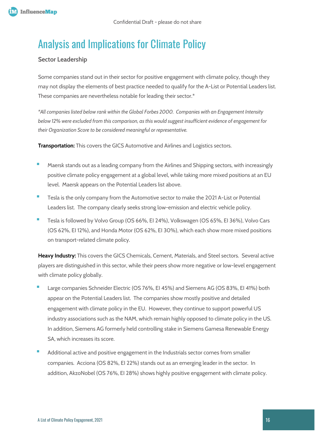## <span id="page-15-0"></span>Analysis and Implications for Climate Policy

#### **Sector Leadership**

Some companies stand out in their sector for positive engagement with climate policy, though they may not display the elements of best practice needed to qualify for the A-List or Potential Leaders list. These companies are nevertheless notable for leading their sector.\*

*\*All companies listed below rank within the Global Forbes 2000. Companies with an Engagement Intensity below 12% were excluded from this comparison, as this would suggest insufficient evidence of engagement for their Organization Score to be considered meaningful or representative.* 

**Transportation:** This covers the GICS Automotive and Airlines and Logistics sectors.

- Maersk stands out as a leading company from the Airlines and Shipping sectors, with increasingly positive climate policy engagement at a global level, while taking more mixed positions at an EU level. Maersk appears on the Potential Leaders list above.
- Tesla is the only company from the Automotive sector to make the 2021 A-List or Potential Leaders list. The company clearly seeks strong low-emission and electric vehicle policy.
- Tesla is followed by Volvo Group (OS 66%, EI 24%), Volkswagen (OS 65%, EI 36%), Volvo Cars (OS 62%, EI 12%), and Honda Motor (OS 62%, EI 30%), which each show more mixed positions on transport-related climate policy.

**Heavy Industry:** This covers the GICS Chemicals, Cement, Materials, and Steel sectors. Several active players are distinguished in this sector, while their peers show more negative or low-level engagement with climate policy globally.

- Large companies Schneider Electric (OS 76%, EI 45%) and Siemens AG (OS 83%, EI 41%) both appear on the Potential Leaders list. The companies show mostly positive and detailed engagement with climate policy in the EU. However, they continue to support powerful US industry associations such as the NAM, which remain highly opposed to climate policy in the US. In addition, Siemens AG formerly held controlling stake in Siemens Gamesa Renewable Energy SA, which increases its score.
- Additional active and positive engagement in the Industrials sector comes from smaller companies. Acciona (OS 82%, EI 22%) stands out as an emerging leader in the sector. In addition, AkzoNobel (OS 76%, EI 28%) shows highly positive engagement with climate policy.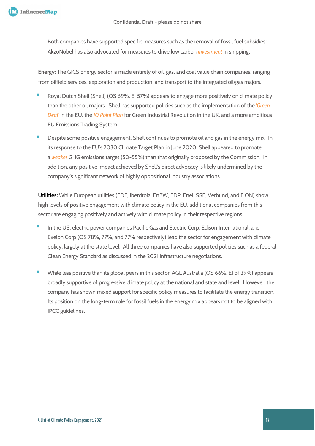Both companies have supported specific measures such as the removal of fossil fuel subsidies; AkzoNobel has also advocated for measures to drive low carbon *[investment](https://content.influencemap.org/evidence/-cac7310d5f6e665af5ea1bb682462184)* in shipping.

**Energy:** The GICS Energy sector is made entirely of oil, gas, and coal value chain companies, ranging from oilfield services, exploration and production, and transport to the integrated oil/gas majors.

- Royal Dutch Shell (Shell) (OS 69%, EI 57%) appears to engage more positively on climate policy than the other oil majors. Shell has supported policies such as the implementation of the *['Green](https://content.influencemap.org/evidence/-25aa59c2457400b7edcd030a8f3d2f95)  [Deal'](https://content.influencemap.org/evidence/-25aa59c2457400b7edcd030a8f3d2f95)* in the EU, the *[10 Point Plan](https://content.influencemap.org/evidence/-32a3bb1232537eb27e8bc13299f03b90)* for Green Industrial Revolution in the UK, and a more ambitious EU Emissions Trading System.
- Despite some positive engagement, Shell continues to promote oil and gas in the energy mix. In its response to the EU's 2030 Climate Target Plan in June 2020, Shell appeared to promote a *[weaker](https://content.influencemap.org/evidence/-db68da3e06de2d6ae56c6fe579c3f6d0)* GHG emissions target (50-55%) than that originally proposed by the Commission. In addition, any positive impact achieved by Shell's direct advocacy is likely undermined by the company's significant network of highly oppositional industry associations.

**Utilities:** While European utilities (EDF, Iberdrola, EnBW, EDP, Enel, SSE, Verbund, and E.ON) show high levels of positive engagement with climate policy in the EU, additional companies from this sector are engaging positively and actively with climate policy in their respective regions.

- In the US, electric power companies Pacific Gas and Electric Corp, Edison International, and Exelon Corp (OS 78%, 77%, and 77% respectively) lead the sector for engagement with climate policy, largely at the state level. All three companies have also supported policies such as a federal Clean Energy Standard as discussed in the 2021 infrastructure negotiations.
- While less positive than its global peers in this sector, AGL Australia (OS 66%, EI of 29%) appears broadly supportive of progressive climate policy at the national and state and level. However, the company has shown mixed support for specific policy measures to facilitate the energy transition. Its position on the long-term role for fossil fuels in the energy mix appears not to be aligned with IPCC guidelines.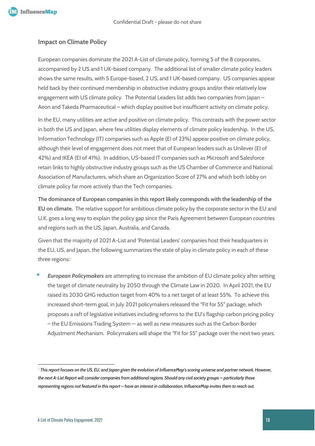

#### **Impact on Climate Policy**

European companies dominate the 2021 A-List of climate policy, forming 5 of the 8 corporates, accompanied by 2 US and 1 UK-based company. The additional list of smaller climate policy leaders shows the same results, with 5 Europe-based, 2 US, and 1 UK-based company. US companies appear held back by their continued membership in obstructive industry groups and/or their relatively low engagement with US climate policy. The Potential Leaders list adds two companies from Japan – Aeon and Takeda Pharmaceutical – which display positive but insufficient activity on climate policy.

In the EU, many utilities are active and positive on climate policy. This contrasts with the power sector in both the US and Japan, where few utilities display elements of climate policy leadership. In the US, Information Technology (IT) companies such as Apple (EI of 23%) appear positive on climate policy, although their level of engagement does not meet that of European leaders such as Unilever (EI of 42%) and IKEA (EI of 41%). In addition, US-based IT companies such as Microsoft and Salesforce retain links to highly obstructive industry groups such as the US Chamber of Commerce and National Association of Manufacturers, which share an Organization Score of 27% and which both lobby on climate policy far more actively than the Tech companies.

**The dominance of European companies in this report likely corresponds with the leadership of the EU on climate.** The relative support for ambitious climate policy by the corporate sector in the EU and U.K. goes a long way to explain the policy gap since the Paris Agreement between European countries and regions such as the US, Japan, Australia, and Canada.

Given that the majority of 2021 A-List and 'Potential Leaders' companies host their headquarters in the EU, US, and Japan, the following summarizes the state of play in climate policy in each of these three regions:*[5](#page-17-0)*

**European Policymakers** are attempting to increase the ambition of EU climate policy after setting the target of climate neutrality by 2050 through the Climate Law in 2020. In April 2021, the EU raised its 2030 GHG reduction target from 40% to a net target of at least 55%. To achieve this increased short-term goal, in July 2021 policymakers released the "Fit for 55" package, which proposes a raft of legislative initiatives including reforms to the EU's flagship carbon pricing policy – the EU Emissions Trading System — as well as new measures such as the Carbon Border Adjustment Mechanism. Policymakers will shape the "Fit for 55" package over the next two years.

<span id="page-17-0"></span><sup>5</sup> *This report focuses on the US, EU, and Japan given the evolution of InfluenceMap's scoring universe and partner network. However, the next A-List Report will consider companies from additional regions. Should any civil society groups – particularly those representing regions not featured in this report – have an interest in collaboration, InfluenceMap invites them to reach out.*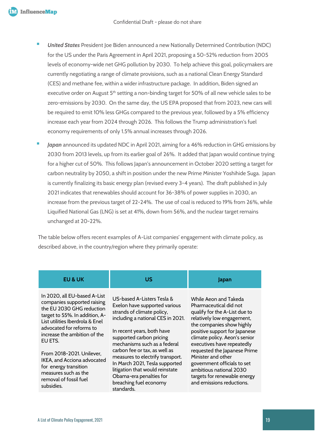- **United States** President Joe Biden announced a new Nationally Determined Contribution (NDC) for the US under the Paris Agreement in April 2021, proposing a 50-52% reduction from 2005 levels of economy-wide net GHG pollution by 2030. To help achieve this goal, policymakers are currently negotiating a range of climate provisions, such as a national Clean Energy Standard (CES) and methane fee, within a wider infrastructure package. In addition, Biden signed an executive order on August 5<sup>th</sup> setting a non-binding target for 50% of all new vehicle sales to be zero-emissions by 2030. On the same day, the US EPA proposed that from 2023, new cars will be required to emit 10% less GHGs compared to the previous year, followed by a 5% efficiency increase each year from 2024 through 2026. This follows the Trump administration's fuel economy requirements of only 1.5% annual increases through 2026.
- Japan announced its updated NDC in April 2021, aiming for a 46% reduction in GHG emissions by 2030 from 2013 levels, up from its earlier goal of 26%. It added that Japan would continue trying for a higher cut of 50%. This follows Japan's announcement in October 2020 setting a target for carbon neutrality by 2050, a shift in position under the new Prime Minister Yoshihide Suga. Japan is currently finalizing its basic energy plan (revised every 3-4 years). The draft published in July 2021 indicates that renewables should account for 36-38% of power supplies in 2030, an increase from the previous target of 22-24%. The use of coal is reduced to 19% from 26%, while Liquified National Gas (LNG) is set at 41%, down from 56%, and the nuclear target remains unchanged at 20-22%.

The table below offers recent examples of A-List companies' engagement with climate policy, as described above, in the country/region where they primarily operate:

| In 2020, all EU-based A-List<br>US-based A-Listers Tesla &<br>While Aeon and Takeda<br>companies supported raising<br>Exelon have supported various<br>Pharmaceutical did not<br>the EU 2030 GHG reduction<br>strands of climate policy,<br>qualify for the A-List due to<br>target to 55%. In addition, A-<br>including a national CES in 2021.<br>relatively low engagement,<br>List utilities Iberdrola & Enel<br>the companies show highly<br>advocated for reforms to<br>positive support for Japanese<br>In recent years, both have<br>increase the ambition of the<br>supported carbon pricing<br>climate policy. Aeon's senior<br>EU ETS.<br>mechanisms such as a federal<br>executives have repeatedly<br>requested the Japanese Prime<br>carbon fee or tax, as well as<br>From 2018-2021. Unilever.<br>Minister and other<br>measures to electrify transport.<br>IKEA, and Acciona advocated<br>In March 2021, Tesla supported<br>government officials to set<br>for energy transition<br>litigation that would reinstate<br>ambitious national 2030<br>measures such as the<br>targets for renewable energy<br>Obama-era penalties for<br>removal of fossil fuel<br>breaching fuel economy<br>and emissions reductions.<br>subsidies. | <b>EU &amp; UK</b> | บร         | Japan |
|--------------------------------------------------------------------------------------------------------------------------------------------------------------------------------------------------------------------------------------------------------------------------------------------------------------------------------------------------------------------------------------------------------------------------------------------------------------------------------------------------------------------------------------------------------------------------------------------------------------------------------------------------------------------------------------------------------------------------------------------------------------------------------------------------------------------------------------------------------------------------------------------------------------------------------------------------------------------------------------------------------------------------------------------------------------------------------------------------------------------------------------------------------------------------------------------------------------------------------------------------|--------------------|------------|-------|
|                                                                                                                                                                                                                                                                                                                                                                                                                                                                                                                                                                                                                                                                                                                                                                                                                                                                                                                                                                                                                                                                                                                                                                                                                                                  |                    | standards. |       |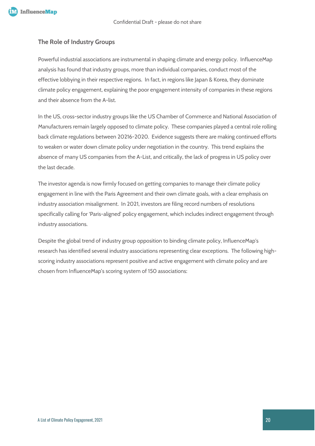

#### **The Role of Industry Groups**

Powerful industrial associations are instrumental in shaping climate and energy policy. InfluenceMap analysis has found that industry groups, more than individual companies, conduct most of the effective lobbying in their respective regions. In fact, in regions like Japan & Korea, they dominate climate policy engagement, explaining the poor engagement intensity of companies in these regions and their absence from the A-list.

In the US, cross-sector industry groups like the US Chamber of Commerce and National Association of Manufacturers remain largely opposed to climate policy. These companies played a central role rolling back climate regulations between 20216-2020. Evidence suggests there are making continued efforts to weaken or water down climate policy under negotiation in the country. This trend explains the absence of many US companies from the A-List, and critically, the lack of progress in US policy over the last decade.

The investor agenda is now firmly focused on getting companies to manage their climate policy engagement in line with the Paris Agreement and their own climate goals, with a clear emphasis on industry association misalignment. In 2021, investors are filing record numbers of resolutions specifically calling for 'Paris-aligned' policy engagement, which includes indirect engagement through industry associations.

Despite the global trend of industry group opposition to binding climate policy, InfluenceMap's research has identified several industry associations representing clear exceptions. The following highscoring industry associations represent positive and active engagement with climate policy and are chosen from InfluenceMap's scoring system of 150 associations: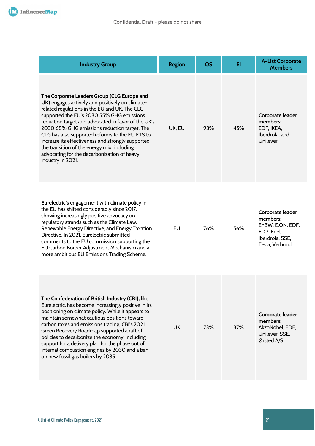| <b>Industry Group</b>                                                                                                                                                                                                                                                                                                                                                                                                                                                                                                          | <b>Region</b> | <b>OS</b> | EI  | <b>A-List Corporate</b><br><b>Members</b>                                                           |
|--------------------------------------------------------------------------------------------------------------------------------------------------------------------------------------------------------------------------------------------------------------------------------------------------------------------------------------------------------------------------------------------------------------------------------------------------------------------------------------------------------------------------------|---------------|-----------|-----|-----------------------------------------------------------------------------------------------------|
| The Corporate Leaders Group (CLG Europe and<br>UK) engages actively and positively on climate-<br>related regulations in the EU and UK. The CLG<br>supported the EU's 2030 55% GHG emissions<br>reduction target and advocated in favor of the UK's<br>2030 68% GHG emissions reduction target. The<br>CLG has also supported reforms to the EU ETS to<br>increase its effectiveness and strongly supported<br>the transition of the energy mix, including<br>advocating for the decarbonization of heavy<br>industry in 2021. | UK, EU        | 93%       | 45% | Corporate leader<br>members:<br>EDF, IKEA,<br>Iberdrola, and<br>Unilever                            |
| <b>Eurelectric's engagement with climate policy in</b><br>the EU has shifted considerably since 2017,<br>showing increasingly positive advocacy on<br>regulatory strands such as the Climate Law,<br>Renewable Energy Directive, and Energy Taxation<br>Directive. In 2021, Eurelectric submitted<br>comments to the EU commission supporting the<br>EU Carbon Border Adjustment Mechanism and a<br>more ambitious EU Emissions Trading Scheme.                                                                                | EU            | 76%       | 56% | Corporate leader<br>members:<br>EnBW, E.ON, EDF,<br>EDP, Enel,<br>Iberdrola, SSE,<br>Tesla, Verbund |
| The Confederation of British Industry (CBI), like<br>Eurelectric, has become increasingly positive in its<br>positioning on climate policy. While it appears to<br>maintain somewhat cautious positions toward<br>carbon taxes and emissions trading, CBI's 2021<br>Green Recovery Roadmap supported a raft of<br>policies to decarbonize the economy, including<br>support for a delivery plan for the phase out of<br>internal combustion engines by 2030 and a ban<br>on new fossil gas boilers by 2035.                    | <b>UK</b>     | 73%       | 37% | Corporate leader<br>members:<br>AkzoNobel, EDF,<br>Unilever, SSE,<br>Ørsted A/S                     |